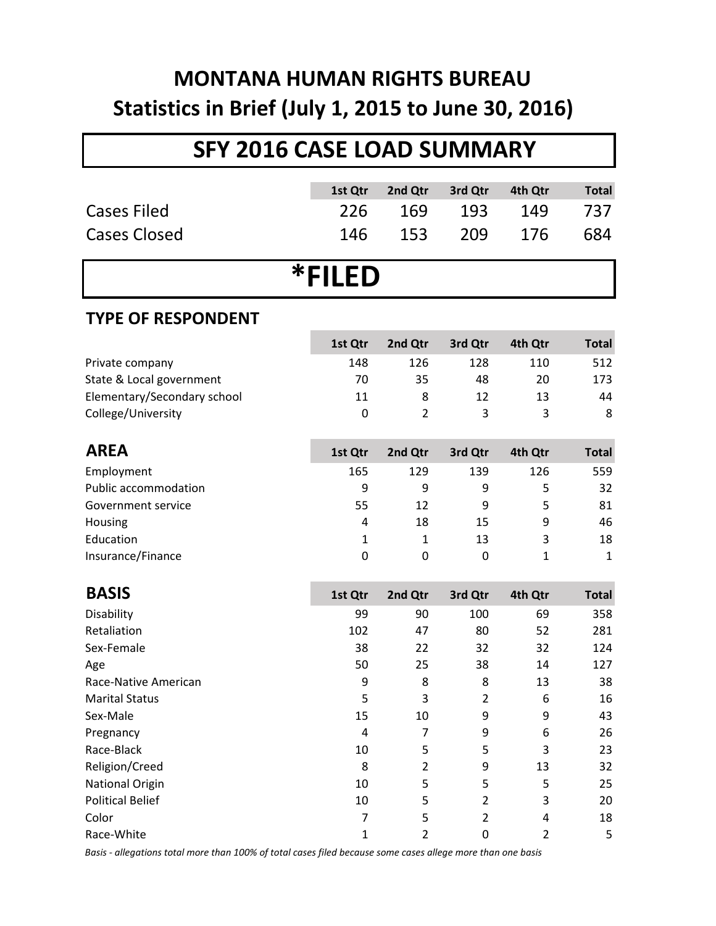# **MONTANA HUMAN RIGHTS BUREAU Statistics in Brief (July 1, 2015 to June 30, 2016)**

## **SFY 2016 CASE LOAD SUMMARY**

|                             | 1st Qtr        | 2nd Qtr        | 3rd Qtr        | 4th Qtr      | <b>Total</b> |  |
|-----------------------------|----------------|----------------|----------------|--------------|--------------|--|
| <b>Cases Filed</b>          | 226            | 169            | 193            | 149          | 737          |  |
| <b>Cases Closed</b>         | 146            | 153            | 209            | 176          | 684          |  |
|                             |                |                |                |              |              |  |
| *FILED                      |                |                |                |              |              |  |
| <b>TYPE OF RESPONDENT</b>   |                |                |                |              |              |  |
|                             | 1st Qtr        | 2nd Qtr        | 3rd Qtr        | 4th Qtr      | <b>Total</b> |  |
| Private company             | 148            | 126            | 128            | 110          | 512          |  |
| State & Local government    | 70             | 35             | 48             | 20           | 173          |  |
| Elementary/Secondary school | 11             | 8              | 12             | 13           | 44           |  |
| College/University          | $\mathbf 0$    | $\overline{2}$ | 3              | 3            | 8            |  |
|                             |                |                |                |              |              |  |
| <b>AREA</b>                 | 1st Qtr        | 2nd Qtr        | 3rd Qtr        | 4th Qtr      | <b>Total</b> |  |
| Employment                  | 165            | 129            | 139            | 126          | 559          |  |
| <b>Public accommodation</b> | 9              | 9              | 9              | 5            | 32           |  |
| Government service          | 55             | 12             | 9              | 5            | 81           |  |
| Housing                     | 4              | 18             | 15             | 9            | 46           |  |
| Education                   | $\mathbf{1}$   | 1              | 13             | 3            | 18           |  |
| Insurance/Finance           | $\mathbf 0$    | 0              | $\mathbf 0$    | $\mathbf{1}$ | $\mathbf{1}$ |  |
|                             |                |                |                |              |              |  |
| <b>BASIS</b>                | 1st Qtr        | 2nd Qtr        | 3rd Qtr        | 4th Qtr      | <b>Total</b> |  |
| Disability                  | 99             | 90             | 100            | 69           | 358          |  |
| Retaliation                 | 102            | 47             | 80             | 52           | 281          |  |
| Sex-Female                  | 38             | 22             | 32             | 32           | 124          |  |
| Age                         | 50             | 25             | 38             | 14           | 127          |  |
| Race-Native American        | 9              | 8              | 8              | 13           | 38           |  |
| <b>Marital Status</b>       | 5              | 3              | $\overline{2}$ | 6            | 16           |  |
| Sex-Male                    | 15             | 10             | 9              | 9            | 43           |  |
| Pregnancy                   | $\overline{4}$ | 7              | 9              | 6            | 26           |  |
| Race-Black                  | 10             | 5              | 5              | 3            | 23           |  |
| Religion/Creed              | 8              | $\overline{2}$ | 9              | 13           | 32           |  |
| National Origin             | 10             | 5              | 5              | 5            | 25           |  |

Race-White 1 2 0 2 5 *Basis - allegations total more than 100% of total cases filed because some cases allege more than one basis*

Political Belief 10 5 2 3 20 Color 7 5 2 4 18